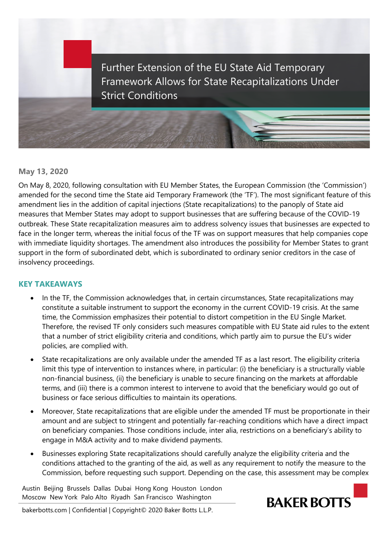

## **May 13, 2020**

On May 8, 2020, following consultation with EU Member States, the European Commission (the 'Commission') amended for the second time the State aid Temporary Framework (the 'TF'). The most significant feature of this amendment lies in the addition of capital injections (State recapitalizations) to the panoply of State aid measures that Member States may adopt to support businesses that are suffering because of the COVID-19 outbreak. These State recapitalization measures aim to address solvency issues that businesses are expected to face in the longer term, whereas the initial focus of the TF was on support measures that help companies cope with immediate liquidity shortages. The amendment also introduces the possibility for Member States to grant support in the form of subordinated debt, which is subordinated to ordinary senior creditors in the case of insolvency proceedings.

## **KEY TAKEAWAYS**

- In the TF, the Commission acknowledges that, in certain circumstances, State recapitalizations may constitute a suitable instrument to support the economy in the current COVID-19 crisis. At the same time, the Commission emphasizes their potential to distort competition in the EU Single Market. Therefore, the revised TF only considers such measures compatible with EU State aid rules to the extent that a number of strict eligibility criteria and conditions, which partly aim to pursue the EU's wider policies, are complied with.
- State recapitalizations are only available under the amended TF as a last resort. The eligibility criteria limit this type of intervention to instances where, in particular: (i) the beneficiary is a structurally viable non-financial business, (ii) the beneficiary is unable to secure financing on the markets at affordable terms, and (iii) there is a common interest to intervene to avoid that the beneficiary would go out of business or face serious difficulties to maintain its operations.
- Moreover, State recapitalizations that are eligible under the amended TF must be proportionate in their amount and are subject to stringent and potentially far-reaching conditions which have a direct impact on beneficiary companies. Those conditions include, inter alia, restrictions on a beneficiary's ability to engage in M&A activity and to make dividend payments.
- Businesses exploring State recapitalizations should carefully analyze the eligibility criteria and the conditions attached to the granting of the aid, as well as any requirement to notify the measure to the Commission, before requesting such support. Depending on the case, this assessment may be complex

Austin Beijing Brussels Dallas Dubai Hong Kong Houston London Moscow New York Palo Alto Riyadh San Francisco Washington



bakerbotts.com | Confidential | Copyright© 2020 Baker Botts L.L.P.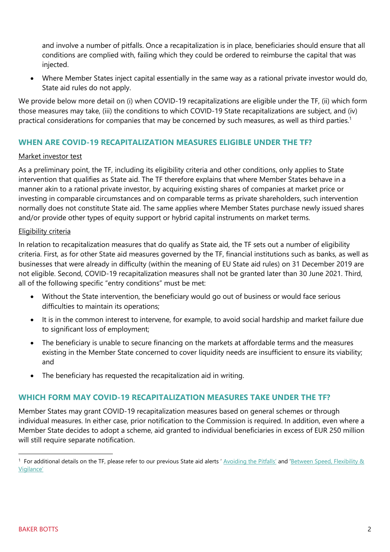and involve a number of pitfalls. Once a recapitalization is in place, beneficiaries should ensure that all conditions are complied with, failing which they could be ordered to reimburse the capital that was injected.

 Where Member States inject capital essentially in the same way as a rational private investor would do, State aid rules do not apply.

We provide below more detail on (i) when COVID-19 recapitalizations are eligible under the TF, (ii) which form those measures may take, (iii) the conditions to which COVID-19 State recapitalizations are subject, and (iv) practical considerations for companies that may be concerned by such measures, as well as third parties.<sup>1</sup>

# **WHEN ARE COVID-19 RECAPITALIZATION MEASURES ELIGIBLE UNDER THE TF?**

### Market investor test

As a preliminary point, the TF, including its eligibility criteria and other conditions, only applies to State intervention that qualifies as State aid. The TF therefore explains that where Member States behave in a manner akin to a rational private investor, by acquiring existing shares of companies at market price or investing in comparable circumstances and on comparable terms as private shareholders, such intervention normally does not constitute State aid. The same applies where Member States purchase newly issued shares and/or provide other types of equity support or hybrid capital instruments on market terms.

### Eligibility criteria

In relation to recapitalization measures that do qualify as State aid, the TF sets out a number of eligibility criteria. First, as for other State aid measures governed by the TF, financial institutions such as banks, as well as businesses that were already in difficulty (within the meaning of EU State aid rules) on 31 December 2019 are not eligible. Second, COVID-19 recapitalization measures shall not be granted later than 30 June 2021. Third, all of the following specific "entry conditions" must be met:

- Without the State intervention, the beneficiary would go out of business or would face serious difficulties to maintain its operations;
- It is in the common interest to intervene, for example, to avoid social hardship and market failure due to significant loss of employment;
- The beneficiary is unable to secure financing on the markets at affordable terms and the measures existing in the Member State concerned to cover liquidity needs are insufficient to ensure its viability; and
- The beneficiary has requested the recapitalization aid in writing.

## **WHICH FORM MAY COVID-19 RECAPITALIZATION MEASURES TAKE UNDER THE TF?**

Member States may grant COVID-19 recapitalization measures based on general schemes or through individual measures. In either case, prior notification to the Commission is required. In addition, even where a Member State decides to adopt a scheme, aid granted to individual beneficiaries in excess of EUR 250 million will still require separate notification.

l

<sup>&</sup>lt;sup>1</sup> For additional details on the TF, please refer to our previous State aid alerts ' [Avoiding the Pitfalls' a](https://www.bakerbotts.com/insights/publications/2020/april/avoiding-the-pitfalls-what-companies-need-to-know-about-eu-state-aid-rules)nd 'Between Speed, Flexibility & [Vigilance'](https://www.bakerbotts.com/insights/publications/2020/march/between-speed-flexibility-vigilance-european-antitrust-agencies-nuanced-responses)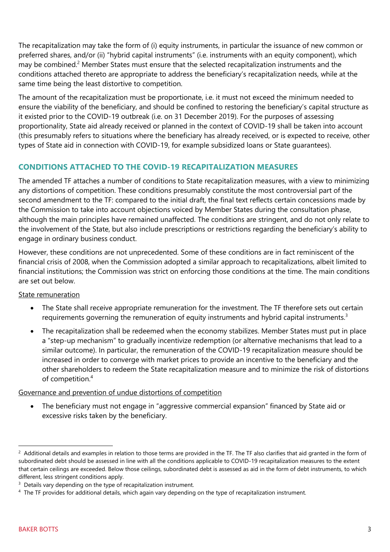The recapitalization may take the form of (i) equity instruments, in particular the issuance of new common or preferred shares, and/or (ii) "hybrid capital instruments" (i.e. instruments with an equity component), which may be combined.<sup>2</sup> Member States must ensure that the selected recapitalization instruments and the conditions attached thereto are appropriate to address the beneficiary's recapitalization needs, while at the same time being the least distortive to competition.

The amount of the recapitalization must be proportionate, i.e. it must not exceed the minimum needed to ensure the viability of the beneficiary, and should be confined to restoring the beneficiary's capital structure as it existed prior to the COVID-19 outbreak (i.e. on 31 December 2019). For the purposes of assessing proportionality, State aid already received or planned in the context of COVID-19 shall be taken into account (this presumably refers to situations where the beneficiary has already received, or is expected to receive, other types of State aid in connection with COVID-19, for example subsidized loans or State guarantees).

# **CONDITIONS ATTACHED TO THE COVID-19 RECAPITALIZATION MEASURES**

The amended TF attaches a number of conditions to State recapitalization measures, with a view to minimizing any distortions of competition. These conditions presumably constitute the most controversial part of the second amendment to the TF: compared to the initial draft, the final text reflects certain concessions made by the Commission to take into account objections voiced by Member States during the consultation phase, although the main principles have remained unaffected. The conditions are stringent, and do not only relate to the involvement of the State, but also include prescriptions or restrictions regarding the beneficiary's ability to engage in ordinary business conduct.

However, these conditions are not unprecedented. Some of these conditions are in fact reminiscent of the financial crisis of 2008, when the Commission adopted a similar approach to recapitalizations, albeit limited to financial institutions; the Commission was strict on enforcing those conditions at the time. The main conditions are set out below.

## State remuneration

- The State shall receive appropriate remuneration for the investment. The TF therefore sets out certain requirements governing the remuneration of equity instruments and hybrid capital instruments.<sup>3</sup>
- The recapitalization shall be redeemed when the economy stabilizes. Member States must put in place a "step-up mechanism" to gradually incentivize redemption (or alternative mechanisms that lead to a similar outcome). In particular, the remuneration of the COVID-19 recapitalization measure should be increased in order to converge with market prices to provide an incentive to the beneficiary and the other shareholders to redeem the State recapitalization measure and to minimize the risk of distortions of competition.<sup>4</sup>

## Governance and prevention of undue distortions of competition

• The beneficiary must not engage in "aggressive commercial expansion" financed by State aid or excessive risks taken by the beneficiary.

l

 $^2$  Additional details and examples in relation to those terms are provided in the TF. The TF also clarifies that aid granted in the form of subordinated debt should be assessed in line with all the conditions applicable to COVID-19 recapitalization measures to the extent that certain ceilings are exceeded. Below those ceilings, subordinated debt is assessed as aid in the form of debt instruments, to which different, less stringent conditions apply.

<sup>&</sup>lt;sup>3</sup> Details vary depending on the type of recapitalization instrument.

<sup>4</sup> The TF provides for additional details, which again vary depending on the type of recapitalization instrument.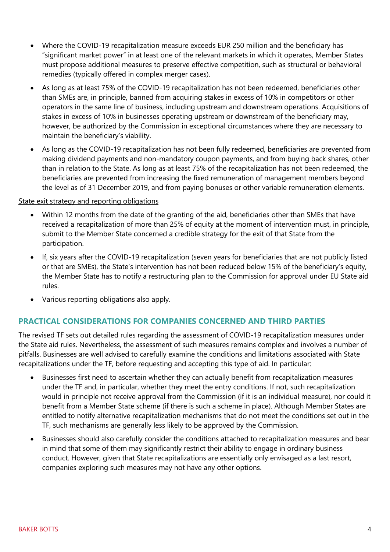- Where the COVID-19 recapitalization measure exceeds EUR 250 million and the beneficiary has "significant market power" in at least one of the relevant markets in which it operates, Member States must propose additional measures to preserve effective competition, such as structural or behavioral remedies (typically offered in complex merger cases).
- As long as at least 75% of the COVID-19 recapitalization has not been redeemed, beneficiaries other than SMEs are, in principle, banned from acquiring stakes in excess of 10% in competitors or other operators in the same line of business, including upstream and downstream operations. Acquisitions of stakes in excess of 10% in businesses operating upstream or downstream of the beneficiary may, however, be authorized by the Commission in exceptional circumstances where they are necessary to maintain the beneficiary's viability.
- As long as the COVID-19 recapitalization has not been fully redeemed, beneficiaries are prevented from making dividend payments and non-mandatory coupon payments, and from buying back shares, other than in relation to the State. As long as at least 75% of the recapitalization has not been redeemed, the beneficiaries are prevented from increasing the fixed remuneration of management members beyond the level as of 31 December 2019, and from paying bonuses or other variable remuneration elements.

### State exit strategy and reporting obligations

- Within 12 months from the date of the granting of the aid, beneficiaries other than SMEs that have received a recapitalization of more than 25% of equity at the moment of intervention must, in principle, submit to the Member State concerned a credible strategy for the exit of that State from the participation.
- If, six years after the COVID-19 recapitalization (seven years for beneficiaries that are not publicly listed or that are SMEs), the State's intervention has not been reduced below 15% of the beneficiary's equity, the Member State has to notify a restructuring plan to the Commission for approval under EU State aid rules.
- Various reporting obligations also apply.

## **PRACTICAL CONSIDERATIONS FOR COMPANIES CONCERNED AND THIRD PARTIES**

The revised TF sets out detailed rules regarding the assessment of COVID-19 recapitalization measures under the State aid rules. Nevertheless, the assessment of such measures remains complex and involves a number of pitfalls. Businesses are well advised to carefully examine the conditions and limitations associated with State recapitalizations under the TF, before requesting and accepting this type of aid. In particular:

- Businesses first need to ascertain whether they can actually benefit from recapitalization measures under the TF and, in particular, whether they meet the entry conditions. If not, such recapitalization would in principle not receive approval from the Commission (if it is an individual measure), nor could it benefit from a Member State scheme (if there is such a scheme in place). Although Member States are entitled to notify alternative recapitalization mechanisms that do not meet the conditions set out in the TF, such mechanisms are generally less likely to be approved by the Commission.
- Businesses should also carefully consider the conditions attached to recapitalization measures and bear in mind that some of them may significantly restrict their ability to engage in ordinary business conduct. However, given that State recapitalizations are essentially only envisaged as a last resort, companies exploring such measures may not have any other options.